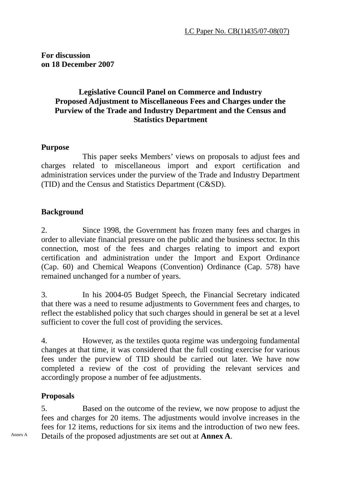**For discussion on 18 December 2007** 

#### **Legislative Council Panel on Commerce and Industry Proposed Adjustment to Miscellaneous Fees and Charges under the Purview of the Trade and Industry Department and the Census and Statistics Department**

#### **Purpose**

 This paper seeks Members' views on proposals to adjust fees and charges related to miscellaneous import and export certification and administration services under the purview of the Trade and Industry Department (TID) and the Census and Statistics Department (C&SD).

#### **Background**

2. Since 1998, the Government has frozen many fees and charges in order to alleviate financial pressure on the public and the business sector. In this connection, most of the fees and charges relating to import and export certification and administration under the Import and Export Ordinance (Cap. 60) and Chemical Weapons (Convention) Ordinance (Cap. 578) have remained unchanged for a number of years.

3. In his 2004-05 Budget Speech, the Financial Secretary indicated that there was a need to resume adjustments to Government fees and charges, to reflect the established policy that such charges should in general be set at a level sufficient to cover the full cost of providing the services.

4. However, as the textiles quota regime was undergoing fundamental changes at that time, it was considered that the full costing exercise for various fees under the purview of TID should be carried out later. We have now completed a review of the cost of providing the relevant services and accordingly propose a number of fee adjustments.

#### **Proposals**

5. Based on the outcome of the review, we now propose to adjust the fees and charges for 20 items. The adjustments would involve increases in the fees for 12 items, reductions for six items and the introduction of two new fees. Annex A Details of the proposed adjustments are set out at **Annex A**.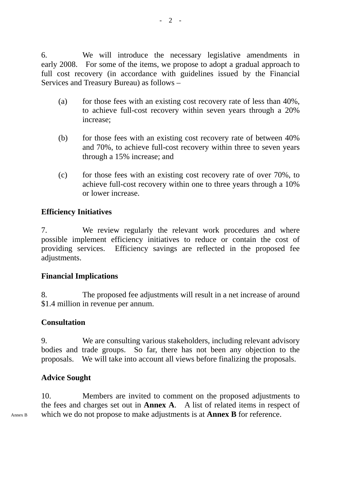6. We will introduce the necessary legislative amendments in early 2008. For some of the items, we propose to adopt a gradual approach to full cost recovery (in accordance with guidelines issued by the Financial Services and Treasury Bureau) as follows –

- (a) for those fees with an existing cost recovery rate of less than 40%, to achieve full-cost recovery within seven years through a 20% increase;
- (b) for those fees with an existing cost recovery rate of between 40% and 70%, to achieve full-cost recovery within three to seven years through a 15% increase; and
- (c) for those fees with an existing cost recovery rate of over 70%, to achieve full-cost recovery within one to three years through a 10% or lower increase.

## **Efficiency Initiatives**

7. We review regularly the relevant work procedures and where possible implement efficiency initiatives to reduce or contain the cost of providing services. Efficiency savings are reflected in the proposed fee adjustments.

## **Financial Implications**

8. The proposed fee adjustments will result in a net increase of around \$1.4 million in revenue per annum.

## **Consultation**

9. We are consulting various stakeholders, including relevant advisory bodies and trade groups. So far, there has not been any objection to the proposals. We will take into account all views before finalizing the proposals.

## **Advice Sought**

10. Members are invited to comment on the proposed adjustments to the fees and charges set out in **Annex A**. A list of related items in respect of Annex B which we do not propose to make adjustments is at **Annex B** for reference.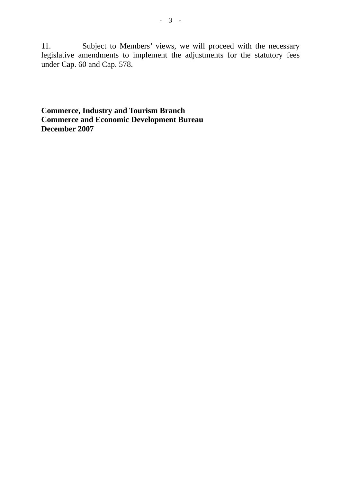11. Subject to Members' views, we will proceed with the necessary legislative amendments to implement the adjustments for the statutory fees under Cap. 60 and Cap. 578.

**Commerce, Industry and Tourism Branch Commerce and Economic Development Bureau December 2007**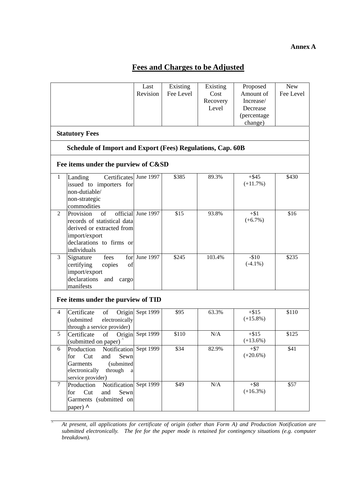#### **Annex A**

# **Fees and Charges to be Adjusted**

| <b>New</b><br>Existing<br>Existing<br>Proposed<br>Last<br>Amount of<br>Fee Level<br>Revision<br>Fee Level<br>Cost<br>Recovery<br>Increase/<br>Level<br>Decrease<br>(percentage<br>change)<br><b>Statutory Fees</b><br>Schedule of Import and Export (Fees) Regulations, Cap. 60B |                                                                                                                                                           |                    |       |           |                        |       |  |  |  |
|----------------------------------------------------------------------------------------------------------------------------------------------------------------------------------------------------------------------------------------------------------------------------------|-----------------------------------------------------------------------------------------------------------------------------------------------------------|--------------------|-------|-----------|------------------------|-------|--|--|--|
|                                                                                                                                                                                                                                                                                  | Fee items under the purview of C&SD                                                                                                                       |                    |       |           |                        |       |  |  |  |
| $\mathbf{1}$                                                                                                                                                                                                                                                                     | Certificates June 1997<br>Landing<br>issued to importers for<br>non-dutiable/<br>non-strategic<br>commodities                                             |                    | \$385 | 89.3%     | $+$ \$45<br>$(+11.7%)$ | \$430 |  |  |  |
| 2                                                                                                                                                                                                                                                                                | of<br>Provision<br>records of statistical data<br>derived or extracted from<br>import/export<br>declarations to firms or<br>individuals                   | official June 1997 | \$15  | 93.8%     | $+ $1$<br>$(+6.7%)$    | \$16  |  |  |  |
| $\mathfrak{Z}$                                                                                                                                                                                                                                                                   | Signature<br>fees<br>certifying<br>copies<br>of<br>import/export<br>declarations<br>and<br>cargo<br>manifests                                             | for June $1997$    | \$245 | 103.4%    | $-$10$<br>$(-4.1\%)$   | \$235 |  |  |  |
| Fee items under the purview of TID                                                                                                                                                                                                                                               |                                                                                                                                                           |                    |       |           |                        |       |  |  |  |
| $\overline{4}$                                                                                                                                                                                                                                                                   | Certificate<br>Origin<br>of<br>(submitted<br>electronically<br>through a service provider)                                                                | Sept 1999          | \$95  | 63.3%     | $+ $15$<br>$(+15.8\%)$ | \$110 |  |  |  |
| 5                                                                                                                                                                                                                                                                                | Certificate<br>of<br>(submitted on paper)                                                                                                                 | Origin Sept 1999   | \$110 | N/A       | $+ $15$<br>$(+13.6%)$  | \$125 |  |  |  |
| 6                                                                                                                                                                                                                                                                                | Notification Sept 1999<br>Production<br>Sewn<br>for<br>Cut<br>and<br>(submitted<br><b>Garments</b><br>electronically<br>through<br>a<br>service provider) |                    | \$34  | 82.9%     | $+ $7$<br>$(+20.6%)$   | \$41  |  |  |  |
| $\tau$                                                                                                                                                                                                                                                                           | Notification Sept 1999<br>Production<br>Cut<br>and<br>Sewn<br>for<br>Garments (submitted on<br>paper) ^                                                   |                    | \$49  | $\rm N/A$ | $+$ \$8<br>$(+16.3\%)$ | \$57  |  |  |  |

^ *At present, all applications for certificate of origin (other than Form A) and Production Notification are submitted electronically. The fee for the paper mode is retained for contingency situations (e.g. computer breakdown).*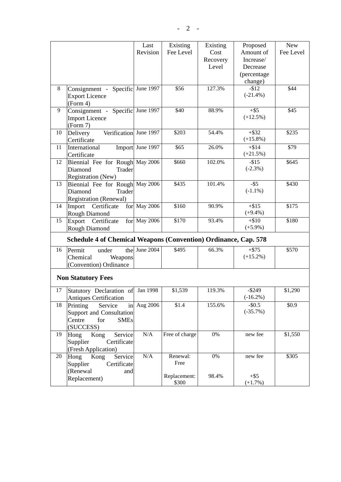| Fee Level<br>Amount of<br>Fee Level<br>Revision<br>Cost<br>Recovery<br>Increase/<br>Level<br>Decrease<br>(percentage<br>change)<br>Consignment - Specific June 1997<br>\$56<br>127.3%<br>$-$12$<br>\$44<br>8<br>$(-21.4\%)$<br><b>Export Licence</b><br>(Form 4)<br>Consignment - Specific June 1997 |
|------------------------------------------------------------------------------------------------------------------------------------------------------------------------------------------------------------------------------------------------------------------------------------------------------|
|                                                                                                                                                                                                                                                                                                      |
|                                                                                                                                                                                                                                                                                                      |
|                                                                                                                                                                                                                                                                                                      |
|                                                                                                                                                                                                                                                                                                      |
|                                                                                                                                                                                                                                                                                                      |
|                                                                                                                                                                                                                                                                                                      |
|                                                                                                                                                                                                                                                                                                      |
|                                                                                                                                                                                                                                                                                                      |
| 9<br>\$40<br>88.9%<br>$+$ \$5<br>\$45                                                                                                                                                                                                                                                                |
| $(+12.5%)$<br><b>Import Licence</b>                                                                                                                                                                                                                                                                  |
| (Form 7)                                                                                                                                                                                                                                                                                             |
| \$203<br>\$235<br>Verification June 1997<br>54.4%<br>$+$ \$32<br>10<br>Delivery                                                                                                                                                                                                                      |
| $(+15.8\%)$<br>Certificate                                                                                                                                                                                                                                                                           |
| Import June 1997<br>\$79<br>\$65<br>26.0%<br>$+ $14$<br>11<br>International                                                                                                                                                                                                                          |
| $(+21.5%)$<br>Certificate                                                                                                                                                                                                                                                                            |
| 102.0%<br>Biennial Fee for Rough May 2006<br>\$660<br>$-$ \$15<br>\$645<br>12                                                                                                                                                                                                                        |
| $(-2.3\%)$                                                                                                                                                                                                                                                                                           |
| Diamond<br>Trader                                                                                                                                                                                                                                                                                    |
| Registration (New)<br>\$435<br>101.4%<br>$-$ \$5                                                                                                                                                                                                                                                     |
| Biennial Fee for Rough May 2006<br>13<br>\$430<br>$(-1.1\%)$                                                                                                                                                                                                                                         |
| Diamond<br>Trader                                                                                                                                                                                                                                                                                    |
| <b>Registration (Renewal)</b>                                                                                                                                                                                                                                                                        |
| $+ $15$<br>for May 2006<br>\$160<br>90.9%<br>\$175<br>Import<br>Certificate<br>14                                                                                                                                                                                                                    |
| $(+9.4\%)$<br>Rough Diamond                                                                                                                                                                                                                                                                          |
| Export Certificate<br>for May 2006<br>\$170<br>93.4%<br>$+ $10$<br>\$180<br>15                                                                                                                                                                                                                       |
| $(+5.9\%)$<br>Rough Diamond                                                                                                                                                                                                                                                                          |
| <b>Schedule 4 of Chemical Weapons (Convention) Ordinance, Cap. 578</b>                                                                                                                                                                                                                               |
| \$495                                                                                                                                                                                                                                                                                                |
| the June 2004<br>66.3%<br>$+ $75$<br>\$570<br>Permit<br>16<br>under                                                                                                                                                                                                                                  |
| $(+15.2\%)$<br>Chemical<br>Weapons                                                                                                                                                                                                                                                                   |
| (Convention) Ordinance                                                                                                                                                                                                                                                                               |
|                                                                                                                                                                                                                                                                                                      |
| <b>Non Statutory Fees</b>                                                                                                                                                                                                                                                                            |
| 119.3%<br>$-$ \$249<br>17<br>Statutory Declaration of<br>Jan 1998<br>\$1,539<br>\$1,290                                                                                                                                                                                                              |
| $(-16.2\%)$<br><b>Antiques Certification</b>                                                                                                                                                                                                                                                         |
| Aug 2006<br>\$1.4<br>155.6%<br>$-$ \$0.5<br>\$0.9<br>18<br>Printing<br>Service<br>in                                                                                                                                                                                                                 |
| $(-35.7%)$<br>Support and Consultation                                                                                                                                                                                                                                                               |
| Centre<br>for<br><b>SMEs</b>                                                                                                                                                                                                                                                                         |
| (SUCCESS)                                                                                                                                                                                                                                                                                            |
| $\rm N/A$<br>Free of charge<br>0%<br>\$1,550<br>Hong<br>new fee<br>19<br>Kong<br>Service                                                                                                                                                                                                             |
| Supplier<br>Certificate                                                                                                                                                                                                                                                                              |
| (Fresh Application)                                                                                                                                                                                                                                                                                  |
| Renewal:<br>Service<br>$\rm N/A$<br>new fee<br>\$305<br>$0\%$<br>20<br>Kong                                                                                                                                                                                                                          |
| Hong<br>Free                                                                                                                                                                                                                                                                                         |
| Supplier<br>Certificate                                                                                                                                                                                                                                                                              |
| (Renewal<br>and<br>Replacement:<br>98.4%<br>$+$ \$5                                                                                                                                                                                                                                                  |
| Replacement)<br>\$300<br>$(+1.7%)$                                                                                                                                                                                                                                                                   |